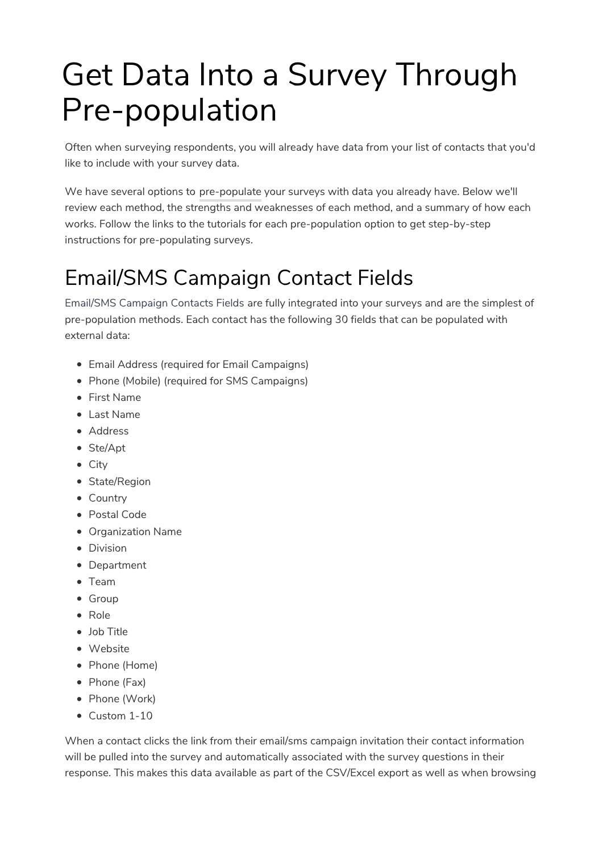# Get Data Into a Survey Through Pre-population

Often when surveying respondents, you will already have data from your list of contacts that you'd like to include with your survey data.

We have several options to pre-populate your surveys with data you already have. Below we'll review each method, the strengths and weaknesses of each method, and a summary of how each works. Follow the links to the tutorials for each pre-population option to get step-by-step instructions for pre-populating surveys.

## Email/SMS Campaign Contact Fields

Email/SMS Campaign Contacts Fields are fully integrated into your surveys and are the simplest of pre-population methods. Each contact has the following 30 fields that can be populated with external data:

- Email Address (required for Email Campaigns)
- Phone (Mobile) (required for SMS Campaigns)
- First Name
- Last Name
- Address
- Ste/Apt
- City
- State/Region
- Country
- Postal Code
- Organization Name
- **•** Division
- Department
- Team
- Group
- Role
- Job Title
- Website
- Phone (Home)
- Phone (Fax)
- Phone (Work)
- Custom 1-10

When a contact clicks the link from their email/sms campaign invitation their contact information will be pulled into the survey and automatically associated with the survey questions in their response. This makes this data available as part of the CSV/Excel export as well as when browsing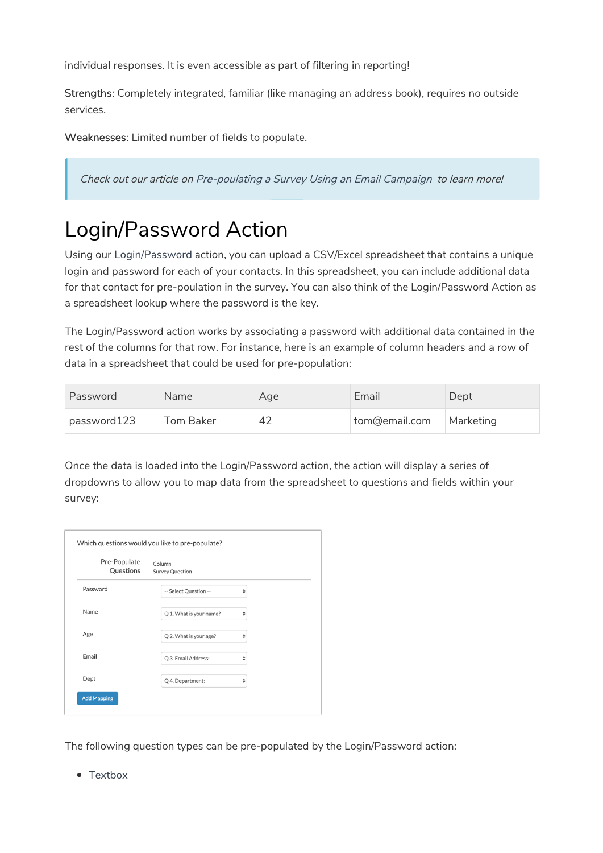individual responses. It is even accessible as part of filtering in reporting!

Strengths: Completely integrated, familiar (like managing an address book), requires no outside services.

Weaknesses: Limited number of fields to populate.

Check out our article on Pre-poulating <sup>a</sup> Survey Using an Email Campaign to learn more!

### Login/Password Action

Using our Login/Password action, you can upload a CSV/Excel spreadsheet that contains a unique login and password for each of your contacts. In this spreadsheet, you can include additional data for that contact for pre-poulation in the survey. You can also think of the Login/Password Action as a spreadsheet lookup where the password is the key.

The Login/Password action works by associating a password with additional data contained in the rest of the columns for that row. For instance, here is an example of column headers and a row of data in a spreadsheet that could be used for pre-population:

| Password    | Name             | Age | Email         | Dept      |
|-------------|------------------|-----|---------------|-----------|
| password123 | <b>Tom Baker</b> | 42  | tom@email.com | Marketing |

Once the data is loaded into the Login/Password action, the action will display a series of dropdowns to allow you to map data from the spreadsheet to questions and fields within your survey:

| Pre-Populate<br>Questions | Column<br><b>Survey Question</b> |                                                                               |
|---------------------------|----------------------------------|-------------------------------------------------------------------------------|
| Password                  | -- Select Question --            | ♦                                                                             |
| Name                      | Q 1. What is your name?          | $\hat{\mathbf{z}}$                                                            |
| Age                       | Q 2. What is your age?           | $\hat{\mathbf{v}}$                                                            |
| Email                     | Q 3. Email Address:              | $\frac{\textcolor{red}{\blacktriangle}}{\textcolor{red}{\blacktriangledown}}$ |
| Dept                      | Q 4. Department:                 | ÷                                                                             |

The following question types can be pre-populated by the Login/Password action:

• Textbox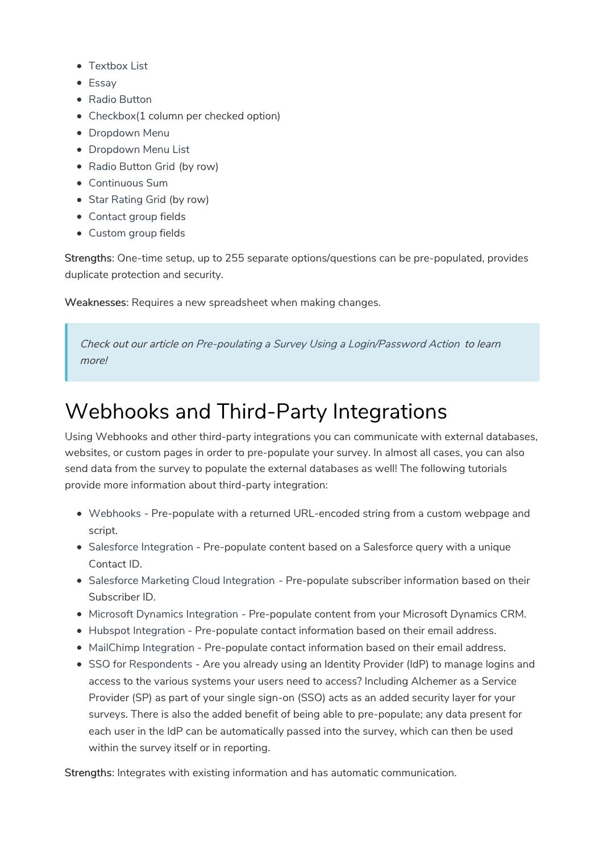- Textbox List
- Essay
- Radio Button
- Checkbox(1 column per checked option)
- Dropdown Menu
- Dropdown Menu List
- Radio Button Grid (by row)
- Continuous Sum
- Star Rating Grid (by row)
- Contact group fields
- Custom group fields

Strengths: One-time setup, up to 255 separate options/questions can be pre-populated, provides duplicate protection and security.

Weaknesses: Requires a new spreadsheet when making changes.

Check out our article on Pre-poulating <sup>a</sup> Survey Using <sup>a</sup> Login/Password Action to learn more!

#### Webhooks and Third-Party Integrations

Using Webhooks and other third-party integrations you can communicate with external databases, websites, or custom pages in order to pre-populate your survey. In almost all cases, you can also send data from the survey to populate the external databases as well! The following tutorials provide more information about third-party integration:

- Webhooks Pre-populate with a returned URL-encoded string from a custom webpage and script.
- Salesforce Integration Pre-populate content based on a Salesforce query with a unique Contact ID.
- Salesforce Marketing Cloud Integration Pre-populate subscriber information based on their Subscriber ID.
- $\bullet$  Microsoft Dynamics Integration Pre-populate content from your Microsoft Dynamics CRM.
- Hubspot Integration Pre-populate contact information based on their email address.
- MailChimp Integration Pre-populate contact information based on their email address.
- SSO for Respondents Are you already using an Identity Provider (IdP) to manage logins and access to the various systems your users need to access? Including Alchemer as a Service Provider (SP) as part of your single sign-on (SSO) acts as an added security layer for your surveys. There is also the added benefit of being able to pre-populate; any data present for each user in the IdP can be automatically passed into the survey, which can then be used within the survey itself or in reporting.

Strengths: Integrates with existing information and has automatic communication.